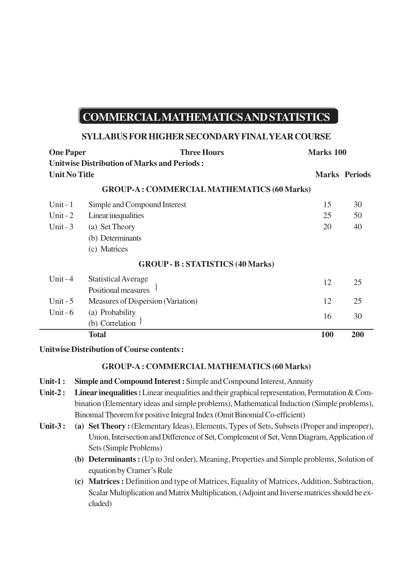# **COMMERCIAL MATHEMATICS AND STATISTICS**

### **SYLLABUS FOR HIGHER SECONDARY FINAL YEAR COURSE**

| <b>One Paper</b>                                  | <b>Three Hours</b>                                 | <b>Marks 100</b> |                      |
|---------------------------------------------------|----------------------------------------------------|------------------|----------------------|
|                                                   | <b>Unitwise Distribution of Marks and Periods:</b> |                  |                      |
| <b>Unit No Title</b>                              |                                                    |                  | <b>Marks Periods</b> |
| <b>GROUP-A: COMMERCIAL MATHEMATICS (60 Marks)</b> |                                                    |                  |                      |
| Unit $-1$                                         | Simple and Compound Interest                       | 15               | 30                   |
| Unit - $2$                                        | Linear inequalities                                | 25               | 50                   |
| Unit $-3$                                         | (a) Set Theory                                     | 20               | 40                   |
|                                                   | (b) Determinants                                   |                  |                      |
|                                                   | (c) Matrices                                       |                  |                      |
| <b>GROUP - B: STATISTICS (40 Marks)</b>           |                                                    |                  |                      |
| Unit $-4$                                         | <b>Statistical Average</b>                         | 12               | 25                   |
|                                                   | Positional measures                                |                  |                      |
| Unit $-5$                                         | Measures of Dispersion (Variation)                 | 12               | 25                   |
| Unit - $6$                                        | (a) Probability                                    | 16               | 30                   |
|                                                   | (b) Correlation $\frac{1}{2}$                      |                  |                      |
|                                                   | <b>Total</b>                                       | 100              | 200                  |

**Unitwise Distribution of Course contents :**

## **GROUP-A : COMMERCIAL MATHEMATICS (60 Marks)**

- **Unit-1 : Simple and Compound Interest :** Simple and Compound Interest, Annuity
- **Unit-2 : Linear inequalities :** Linear inequalities and their graphical representation, Permutation & Combination (Elementary ideas and simple problems), Mathematical Induction (Simple problems), Binomial Theorem for positive Integral Index (Omit Binomial Co-efficient)
- Unit-3: (a) Set Theory: (Elementary Ideas), Elements, Types of Sets, Subsets (Proper and improper), Union, Intersection and Difference of Set, Complement of Set, Venn Diagram, Application of Sets (Simple Problems)
	- **(b) Determinants :** (Up to 3rd order), Meaning, Properties and Simple problems, Solution of equation by Cramer's Rule
	- **(c) Matrices :** Definition and type of Matrices, Equality of Matrices, Addition, Subtraction, Scalar Multiplication and Matrix Multiplication, (Adjoint and Inverse matrices should be excluded)